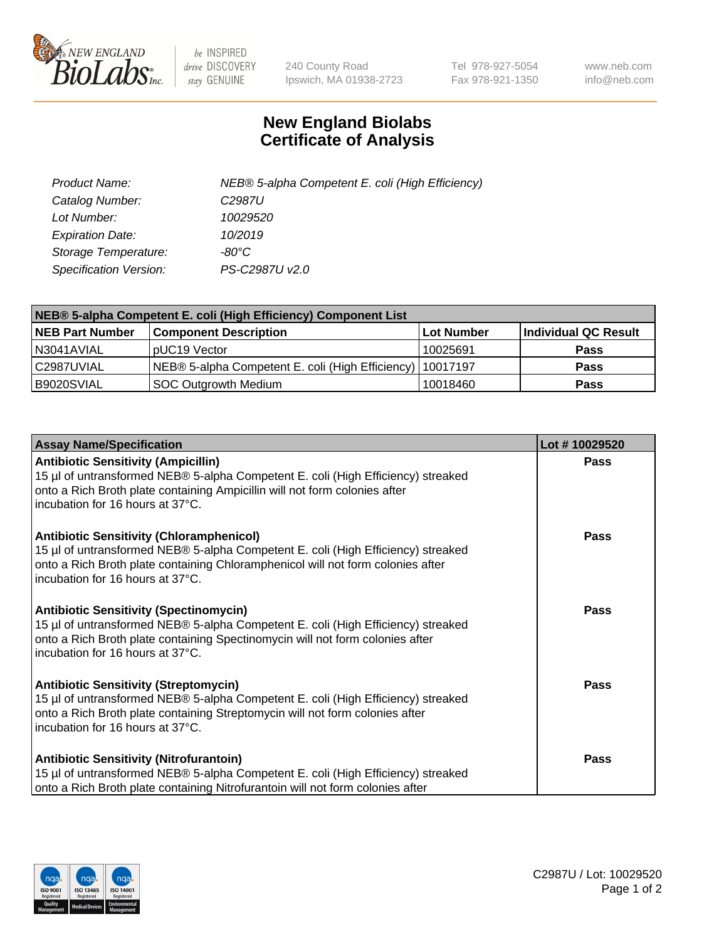

 $be$  INSPIRED drive DISCOVERY stay GENUINE

240 County Road Ipswich, MA 01938-2723 Tel 978-927-5054 Fax 978-921-1350 www.neb.com info@neb.com

## **New England Biolabs Certificate of Analysis**

| Product Name:           | NEB® 5-alpha Competent E. coli (High Efficiency) |
|-------------------------|--------------------------------------------------|
| Catalog Number:         | C <sub>2987</sub> U                              |
| Lot Number:             | 10029520                                         |
| <b>Expiration Date:</b> | 10/2019                                          |
| Storage Temperature:    | -80°C                                            |
| Specification Version:  | PS-C2987U v2.0                                   |

| NEB® 5-alpha Competent E. coli (High Efficiency) Component List |                                                             |            |                      |  |
|-----------------------------------------------------------------|-------------------------------------------------------------|------------|----------------------|--|
| <b>NEB Part Number</b>                                          | <b>Component Description</b>                                | Lot Number | Individual QC Result |  |
| N3041AVIAL                                                      | pUC19 Vector                                                | 10025691   | <b>Pass</b>          |  |
| C2987UVIAL                                                      | NEB® 5-alpha Competent E. coli (High Efficiency)   10017197 |            | <b>Pass</b>          |  |
| B9020SVIAL                                                      | SOC Outgrowth Medium                                        | 10018460   | <b>Pass</b>          |  |

| <b>Assay Name/Specification</b>                                                                                                                                                                                                                            | Lot #10029520 |
|------------------------------------------------------------------------------------------------------------------------------------------------------------------------------------------------------------------------------------------------------------|---------------|
| <b>Antibiotic Sensitivity (Ampicillin)</b><br>15 µl of untransformed NEB® 5-alpha Competent E. coli (High Efficiency) streaked<br>onto a Rich Broth plate containing Ampicillin will not form colonies after<br>incubation for 16 hours at 37°C.           | <b>Pass</b>   |
| <b>Antibiotic Sensitivity (Chloramphenicol)</b><br>15 µl of untransformed NEB® 5-alpha Competent E. coli (High Efficiency) streaked<br>onto a Rich Broth plate containing Chloramphenicol will not form colonies after<br>incubation for 16 hours at 37°C. | <b>Pass</b>   |
| <b>Antibiotic Sensitivity (Spectinomycin)</b><br>15 µl of untransformed NEB® 5-alpha Competent E. coli (High Efficiency) streaked<br>onto a Rich Broth plate containing Spectinomycin will not form colonies after<br>incubation for 16 hours at 37°C.     | Pass          |
| <b>Antibiotic Sensitivity (Streptomycin)</b><br>15 µl of untransformed NEB® 5-alpha Competent E. coli (High Efficiency) streaked<br>onto a Rich Broth plate containing Streptomycin will not form colonies after<br>incubation for 16 hours at 37°C.       | Pass          |
| <b>Antibiotic Sensitivity (Nitrofurantoin)</b><br>15 µl of untransformed NEB® 5-alpha Competent E. coli (High Efficiency) streaked<br>onto a Rich Broth plate containing Nitrofurantoin will not form colonies after                                       | Pass          |